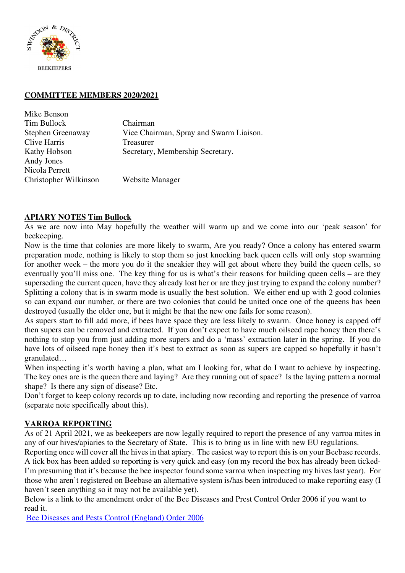

#### **COMMITTEE MEMBERS 2020/2021**

| Mike Benson           |                                         |
|-----------------------|-----------------------------------------|
| Tim Bullock           | Chairman                                |
| Stephen Greenaway     | Vice Chairman, Spray and Swarm Liaison. |
| Clive Harris          | Treasurer                               |
| Kathy Hobson          | Secretary, Membership Secretary.        |
| Andy Jones            |                                         |
| Nicola Perrett        |                                         |
| Christopher Wilkinson | Website Manager                         |

### **APIARY NOTES Tim Bullock**

As we are now into May hopefully the weather will warm up and we come into our 'peak season' for beekeeping.

Now is the time that colonies are more likely to swarm, Are you ready? Once a colony has entered swarm preparation mode, nothing is likely to stop them so just knocking back queen cells will only stop swarming for another week – the more you do it the sneakier they will get about where they build the queen cells, so eventually you'll miss one. The key thing for us is what's their reasons for building queen cells – are they superseding the current queen, have they already lost her or are they just trying to expand the colony number? Splitting a colony that is in swarm mode is usually the best solution. We either end up with 2 good colonies so can expand our number, or there are two colonies that could be united once one of the queens has been destroyed (usually the older one, but it might be that the new one fails for some reason).

As supers start to fill add more, if bees have space they are less likely to swarm. Once honey is capped off then supers can be removed and extracted. If you don't expect to have much oilseed rape honey then there's nothing to stop you from just adding more supers and do a 'mass' extraction later in the spring. If you do have lots of oilseed rape honey then it's best to extract as soon as supers are capped so hopefully it hasn't granulated…

When inspecting it's worth having a plan, what am I looking for, what do I want to achieve by inspecting. The key ones are is the queen there and laying? Are they running out of space? Is the laying pattern a normal shape? Is there any sign of disease? Etc.

Don't forget to keep colony records up to date, including now recording and reporting the presence of varroa (separate note specifically about this).

# **VARROA REPORTING**

As of 21 April 2021, we as beekeepers are now legally required to report the presence of any varroa mites in any of our hives/apiaries to the Secretary of State. This is to bring us in line with new EU regulations.

Reporting once will cover all the hives in that apiary. The easiest way to report this is on your Beebase records. A tick box has been added so reporting is very quick and easy (on my record the box has already been ticked-I'm presuming that it's because the bee inspector found some varroa when inspecting my hives last year). For those who aren't registered on Beebase an alternative system is/has been introduced to make reporting easy (I haven't seen anything so it may not be available yet).

Below is a link to the amendment order of the Bee Diseases and Prest Control Order 2006 if you want to read it.

Bee Diseases and Pests Control (England) Order 2006